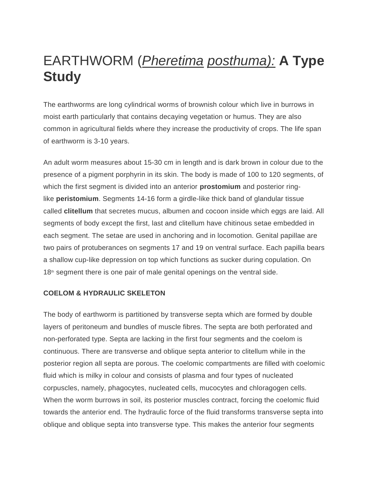# EARTHWORM (*Pheretima posthuma):* **A Type Study**

The earthworms are long cylindrical worms of brownish colour which live in burrows in moist earth particularly that contains decaying vegetation or humus. They are also common in agricultural fields where they increase the productivity of crops. The life span of earthworm is 3-10 years.

An adult worm measures about 15-30 cm in length and is dark brown in colour due to the presence of a pigment porphyrin in its skin. The body is made of 100 to 120 segments, of which the first segment is divided into an anterior **prostomium** and posterior ringlike **peristomium**. Segments 14-16 form a girdle-like thick band of glandular tissue called **clitellum** that secretes mucus, albumen and cocoon inside which eggs are laid. All segments of body except the first, last and clitellum have chitinous setae embedded in each segment. The setae are used in anchoring and in locomotion. Genital papillae are two pairs of protuberances on segments 17 and 19 on ventral surface. Each papilla bears a shallow cup-like depression on top which functions as sucker during copulation. On  $18<sup>th</sup>$  segment there is one pair of male genital openings on the ventral side.

#### **COELOM & HYDRAULIC SKELETON**

The body of earthworm is partitioned by transverse septa which are formed by double layers of peritoneum and bundles of muscle fibres. The septa are both perforated and non-perforated type. Septa are lacking in the first four segments and the coelom is continuous. There are transverse and oblique septa anterior to clitellum while in the posterior region all septa are porous. The coelomic compartments are filled with coelomic fluid which is milky in colour and consists of plasma and four types of nucleated corpuscles, namely, phagocytes, nucleated cells, mucocytes and chloragogen cells. When the worm burrows in soil, its posterior muscles contract, forcing the coelomic fluid towards the anterior end. The hydraulic force of the fluid transforms transverse septa into oblique and oblique septa into transverse type. This makes the anterior four segments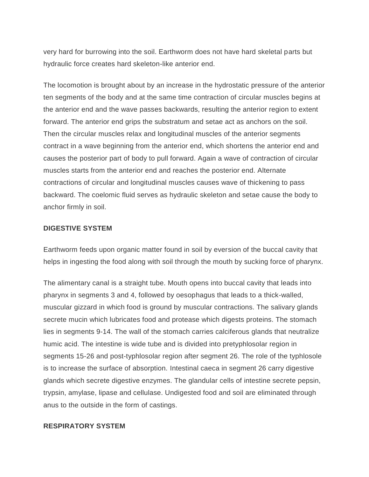very hard for burrowing into the soil. Earthworm does not have hard skeletal parts but hydraulic force creates hard skeleton-like anterior end.

The locomotion is brought about by an increase in the hydrostatic pressure of the anterior ten segments of the body and at the same time contraction of circular muscles begins at the anterior end and the wave passes backwards, resulting the anterior region to extent forward. The anterior end grips the substratum and setae act as anchors on the soil. Then the circular muscles relax and longitudinal muscles of the anterior segments contract in a wave beginning from the anterior end, which shortens the anterior end and causes the posterior part of body to pull forward. Again a wave of contraction of circular muscles starts from the anterior end and reaches the posterior end. Alternate contractions of circular and longitudinal muscles causes wave of thickening to pass backward. The coelomic fluid serves as hydraulic skeleton and setae cause the body to anchor firmly in soil.

#### **DIGESTIVE SYSTEM**

Earthworm feeds upon organic matter found in soil by eversion of the buccal cavity that helps in ingesting the food along with soil through the mouth by sucking force of pharynx.

The alimentary canal is a straight tube. Mouth opens into buccal cavity that leads into pharynx in segments 3 and 4, followed by oesophagus that leads to a thick-walled, muscular gizzard in which food is ground by muscular contractions. The salivary glands secrete mucin which lubricates food and protease which digests proteins. The stomach lies in segments 9-14. The wall of the stomach carries calciferous glands that neutralize humic acid. The intestine is wide tube and is divided into pretyphlosolar region in segments 15-26 and post-typhlosolar region after segment 26. The role of the typhlosole is to increase the surface of absorption. Intestinal caeca in segment 26 carry digestive glands which secrete digestive enzymes. The glandular cells of intestine secrete pepsin, trypsin, amylase, lipase and cellulase. Undigested food and soil are eliminated through anus to the outside in the form of castings.

#### **RESPIRATORY SYSTEM**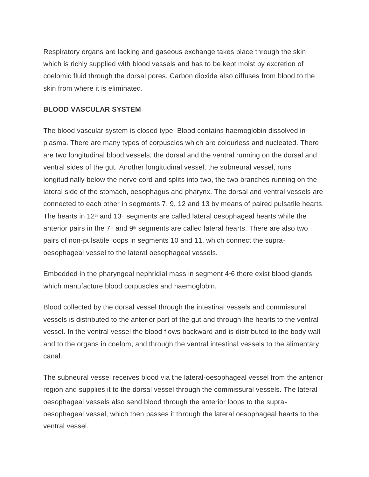Respiratory organs are lacking and gaseous exchange takes place through the skin which is richly supplied with blood vessels and has to be kept moist by excretion of coelomic fluid through the dorsal pores. Carbon dioxide also diffuses from blood to the skin from where it is eliminated.

## **BLOOD VASCULAR SYSTEM**

The blood vascular system is closed type. Blood contains haemoglobin dissolved in plasma. There are many types of corpuscles which are colourless and nucleated. There are two longitudinal blood vessels, the dorsal and the ventral running on the dorsal and ventral sides of the gut. Another longitudinal vessel, the subneural vessel, runs longitudinally below the nerve cord and splits into two, the two branches running on the lateral side of the stomach, oesophagus and pharynx. The dorsal and ventral vessels are connected to each other in segments 7, 9, 12 and 13 by means of paired pulsatile hearts. The hearts in 12<sup>th</sup> and 13<sup>th</sup> segments are called lateral oesophageal hearts while the anterior pairs in the  $7<sup>th</sup>$  and  $9<sup>th</sup>$  segments are called lateral hearts. There are also two pairs of non-pulsatile loops in segments 10 and 11, which connect the supraoesophageal vessel to the lateral oesophageal vessels.

Embedded in the pharyngeal nephridial mass in segment 4–6 there exist blood glands which manufacture blood corpuscles and haemoglobin.

Blood collected by the dorsal vessel through the intestinal vessels and commissural vessels is distributed to the anterior part of the gut and through the hearts to the ventral vessel. In the ventral vessel the blood flows backward and is distributed to the body wall and to the organs in coelom, and through the ventral intestinal vessels to the alimentary canal.

The subneural vessel receives blood via the lateral-oesophageal vessel from the anterior region and supplies it to the dorsal vessel through the commissural vessels. The lateral oesophageal vessels also send blood through the anterior loops to the supraoesophageal vessel, which then passes it through the lateral oesophageal hearts to the ventral vessel.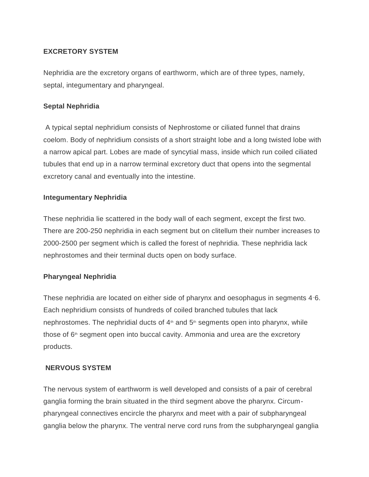## **EXCRETORY SYSTEM**

Nephridia are the excretory organs of earthworm, which are of three types, namely, septal, integumentary and pharyngeal.

## **Septal Nephridia**

A typical septal nephridium consists of Nephrostome or ciliated funnel that drains coelom. Body of nephridium consists of a short straight lobe and a long twisted lobe with a narrow apical part. Lobes are made of syncytial mass, inside which run coiled ciliated tubules that end up in a narrow terminal excretory duct that opens into the segmental excretory canal and eventually into the intestine.

# **Integumentary Nephridia**

These nephridia lie scattered in the body wall of each segment, except the first two. There are 200-250 nephridia in each segment but on clitellum their number increases to 2000-2500 per segment which is called the forest of nephridia. These nephridia lack nephrostomes and their terminal ducts open on body surface.

# **Pharyngeal Nephridia**

These nephridia are located on either side of pharynx and oesophagus in segments 4–6. Each nephridium consists of hundreds of coiled branched tubules that lack nephrostomes. The nephridial ducts of  $4<sup>th</sup>$  and  $5<sup>th</sup>$  segments open into pharynx, while those of  $6<sup>th</sup>$  segment open into buccal cavity. Ammonia and urea are the excretory products.

#### **NERVOUS SYSTEM**

The nervous system of earthworm is well developed and consists of a pair of cerebral ganglia forming the brain situated in the third segment above the pharynx. Circumpharyngeal connectives encircle the pharynx and meet with a pair of subpharyngeal ganglia below the pharynx. The ventral nerve cord runs from the subpharyngeal ganglia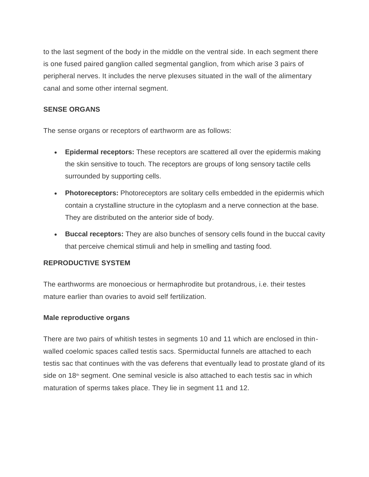to the last segment of the body in the middle on the ventral side. In each segment there is one fused paired ganglion called segmental ganglion, from which arise 3 pairs of peripheral nerves. It includes the nerve plexuses situated in the wall of the alimentary canal and some other internal segment.

#### **SENSE ORGANS**

The sense organs or receptors of earthworm are as follows:

- **Epidermal receptors:** These receptors are scattered all over the epidermis making the skin sensitive to touch. The receptors are groups of long sensory tactile cells surrounded by supporting cells.
- **Photoreceptors:** Photoreceptors are solitary cells embedded in the epidermis which contain a crystalline structure in the cytoplasm and a nerve connection at the base. They are distributed on the anterior side of body.
- **Buccal receptors:** They are also bunches of sensory cells found in the buccal cavity that perceive chemical stimuli and help in smelling and tasting food.

#### **REPRODUCTIVE SYSTEM**

The earthworms are monoecious or hermaphrodite but protandrous, i.e. their testes mature earlier than ovaries to avoid self fertilization.

#### **Male reproductive organs**

There are two pairs of whitish testes in segments 10 and 11 which are enclosed in thinwalled coelomic spaces called testis sacs. Spermiductal funnels are attached to each testis sac that continues with the vas deferens that eventually lead to prostate gland of its side on  $18<sup>th</sup>$  segment. One seminal vesicle is also attached to each testis sac in which maturation of sperms takes place. They lie in segment 11 and 12.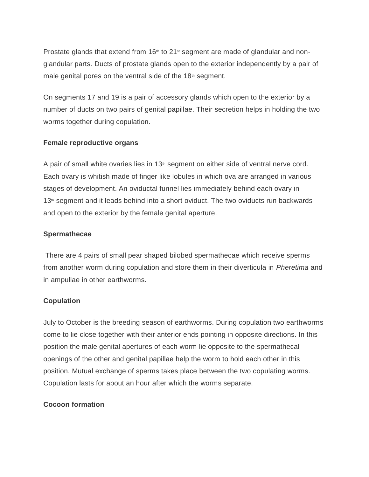Prostate glands that extend from  $16<sup>th</sup>$  to  $21<sup>st</sup>$  segment are made of glandular and nonglandular parts. Ducts of prostate glands open to the exterior independently by a pair of male genital pores on the ventral side of the  $18<sup>th</sup>$  segment.

On segments 17 and 19 is a pair of accessory glands which open to the exterior by a number of ducts on two pairs of genital papillae. Their secretion helps in holding the two worms together during copulation.

#### **Female reproductive organs**

A pair of small white ovaries lies in  $13<sup>th</sup>$  segment on either side of ventral nerve cord. Each ovary is whitish made of finger like lobules in which ova are arranged in various stages of development. An oviductal funnel lies immediately behind each ovary in 13<sup>th</sup> segment and it leads behind into a short oviduct. The two oviducts run backwards and open to the exterior by the female genital aperture.

#### **Spermathecae**

There are 4 pairs of small pear shaped bilobed spermathecae which receive sperms from another worm during copulation and store them in their diverticula in *Pheretima* and in ampullae in other earthworms**.**

#### **Copulation**

July to October is the breeding season of earthworms. During copulation two earthworms come to lie close together with their anterior ends pointing in opposite directions. In this position the male genital apertures of each worm lie opposite to the spermathecal openings of the other and genital papillae help the worm to hold each other in this position. Mutual exchange of sperms takes place between the two copulating worms. Copulation lasts for about an hour after which the worms separate.

#### **Cocoon formation**